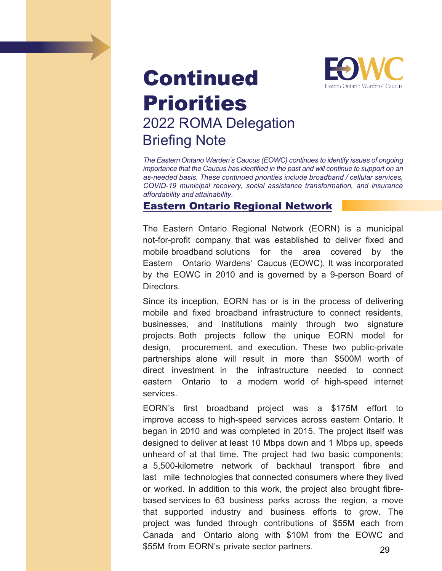# Continued Priorities 2022 ROMA Delegation Briefing Note



*The Eastern Ontario Warden's Caucus (EOWC) continues to identify issues of ongoing importance that the Caucus has identified in the past and will continue to support on an as-needed basis. These continued priorities include broadband / cellular services, COVID-19 municipal recovery, social assistance transformation, and insurance affordability and attainability.*

#### Eastern Ontario Regional Network

The Eastern Ontario Regional Network (EORN) is a municipal not-for-profit company that was established to deliver fixed and mobile broadband solutions for the area covered by the Eastern Ontario Wardens' Caucus (EOWC). It was incorporated by the EOWC in 2010 and is governed by a 9-person Board of Directors.

Since its inception, EORN has or is in the process of delivering mobile and fixed broadband infrastructure to connect residents, businesses, and institutions mainly through two signature projects. Both projects follow the unique EORN model for design, procurement, and execution. These two public-private partnerships alone will result in more than \$500M worth of direct investment in the infrastructure needed to connect eastern Ontario to a modern world of high-speed internet services.

EORN's first broadband project was a \$175M effort to improve access to high-speed services across eastern Ontario. It began in 2010 and was completed in 2015. The project itself was designed to deliver at least 10 Mbps down and 1 Mbps up, speeds unheard of at that time. The project had two basic components; a 5,500-kilometre network of backhaul transport fibre and last mile technologies that connected consumers where they lived or worked. In addition to this work, the project also brought fibrebased services to 63 business parks across the region, a move that supported industry and business efforts to grow. The project was funded through contributions of \$55M each from Canada and Ontario along with \$10M from the EOWC and \$55M from EORN's private sector partners. 29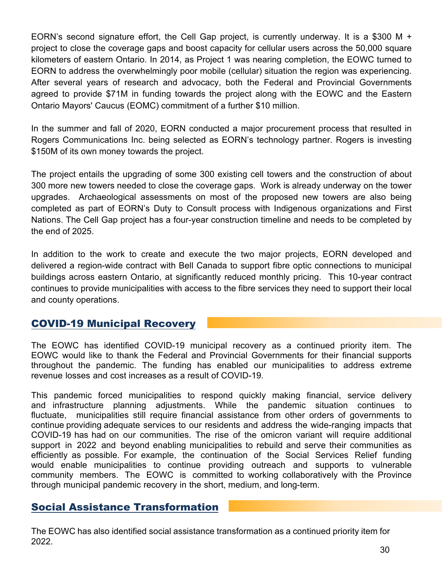EORN's second signature effort, the Cell Gap project, is currently underway. It is a \$300 M + project to close the coverage gaps and boost capacity for cellular users across the 50,000 square kilometers of eastern Ontario. In 2014, as Project 1 was nearing completion, the EOWC turned to EORN to address the overwhelmingly poor mobile (cellular) situation the region was experiencing. After several years of research and advocacy, both the Federal and Provincial Governments agreed to provide \$71M in funding towards the project along with the EOWC and the Eastern Ontario Mayors' Caucus (EOMC) commitment of a further \$10 million.

In the summer and fall of 2020, EORN conducted a major procurement process that resulted in Rogers Communications Inc. being selected as EORN's technology partner. Rogers is investing \$150M of its own money towards the project.

The project entails the upgrading of some 300 existing cell towers and the construction of about 300 more new towers needed to close the coverage gaps. Work is already underway on the tower upgrades. Archaeological assessments on most of the proposed new towers are also being completed as part of EORN's Duty to Consult process with Indigenous organizations and First Nations. The Cell Gap project has a four-year construction timeline and needs to be completed by the end of 2025.

In addition to the work to create and execute the two major projects, EORN developed and delivered a region-wide contract with Bell Canada to support fibre optic connections to municipal buildings across eastern Ontario, at significantly reduced monthly pricing. This 10-year contract continues to provide municipalities with access to the fibre services they need to support their local and county operations.

### COVID-19 Municipal Recovery

The EOWC has identified COVID-19 municipal recovery as a continued priority item. The EOWC would like to thank the Federal and Provincial Governments for their financial supports throughout the pandemic. The funding has enabled our municipalities to address extreme revenue losses and cost increases as a result of COVID-19.

This pandemic forced municipalities to respond quickly making financial, service delivery and infrastructure planning adjustments. While the pandemic situation continues to fluctuate, municipalities still require financial assistance from other orders of governments to continue providing adequate services to our residents and address the wide-ranging impacts that COVID-19 has had on our communities. The rise of the omicron variant will require additional support in 2022 and beyond enabling municipalities to rebuild and serve their communities as efficiently as possible. For example, the continuation of the Social Services Relief funding would enable municipalities to continue providing outreach and supports to vulnerable community members. The EOWC is committed to working collaboratively with the Province through municipal pandemic recovery in the short, medium, and long-term.

## Social Assistance Transformation

The EOWC has also identified social assistance transformation as a continued priority item for 2022.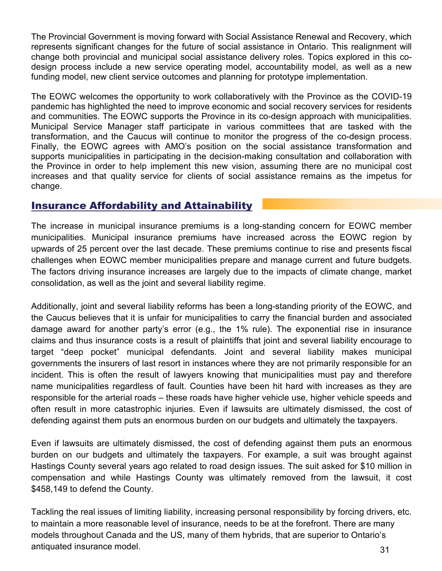The Provincial Government is moving forward with Social Assistance Renewal and Recovery, which represents significant changes for the future of social assistance in Ontario. This realignment will change both provincial and municipal social assistance delivery roles. Topics explored in this codesign process include a new service operating model, accountability model, as well as a new funding model, new client service outcomes and planning for prototype implementation.

The EOWC welcomes the opportunity to work collaboratively with the Province as the COVID-19 pandemic has highlighted the need to improve economic and social recovery services for residents and communities. The EOWC supports the Province in its co-design approach with municipalities. Municipal Service Manager staff participate in various committees that are tasked with the transformation, and the Caucus will continue to monitor the progress of the co-design process. Finally, the EOWC agrees with AMO's position on the social assistance transformation and supports municipalities in participating in the decision-making consultation and collaboration with the Province in order to help implement this new vision, assuming there are no municipal cost increases and that quality service for clients of social assistance remains as the impetus for change.

### Insurance Affordability and Attainability

The increase in municipal insurance premiums is a long-standing concern for EOWC member municipalities. Municipal insurance premiums have increased across the EOWC region by upwards of 25 percent over the last decade. These premiums continue to rise and presents fiscal challenges when EOWC member municipalities prepare and manage current and future budgets. The factors driving insurance increases are largely due to the impacts of climate change, market consolidation, as well as the joint and several liability regime.

Additionally, joint and several liability reforms has been a long-standing priority of the EOWC, and the Caucus believes that it is unfair for municipalities to carry the financial burden and associated damage award for another party's error (e.g., the 1% rule). The exponential rise in insurance claims and thus insurance costs is a result of plaintiffs that joint and several liability encourage to target "deep pocket" municipal defendants. Joint and several liability makes municipal governments the insurers of last resort in instances where they are not primarily responsible for an incident. This is often the result of lawyers knowing that municipalities must pay and therefore name municipalities regardless of fault. Counties have been hit hard with increases as they are responsible for the arterial roads – these roads have higher vehicle use, higher vehicle speeds and often result in more catastrophic injuries. Even if lawsuits are ultimately dismissed, the cost of defending against them puts an enormous burden on our budgets and ultimately the taxpayers.

Even if lawsuits are ultimately dismissed, the cost of defending against them puts an enormous burden on our budgets and ultimately the taxpayers. For example, a suit was brought against Hastings County several years ago related to road design issues. The suit asked for \$10 million in compensation and while Hastings County was ultimately removed from the lawsuit, it cost \$458,149 to defend the County.

Tackling the real issues of limiting liability, increasing personal responsibility by forcing drivers, etc. to maintain a more reasonable level of insurance, needs to be at the forefront. There are many models throughout Canada and the US, many of them hybrids, that are superior to Ontario's antiquated insurance model. 31